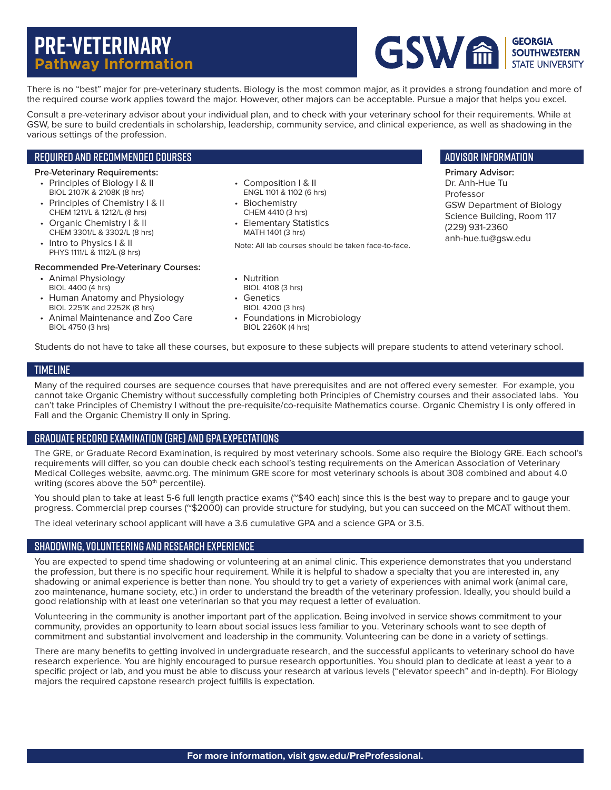# **Pre-veterinary Pathway Information**



There is no "best" major for pre-veterinary students. Biology is the most common major, as it provides a strong foundation and more of the required course work applies toward the major. However, other majors can be acceptable. Pursue a major that helps you excel.

Consult a pre-veterinary advisor about your individual plan, and to check with your veterinary school for their requirements. While at GSW, be sure to build credentials in scholarship, leadership, community service, and clinical experience, as well as shadowing in the various settings of the profession.

### Required and Recommended Courses

#### **Pre-Veterinary Requirements:**

- Principles of Biology I & II BIOL 2107K & 2108K (8 hrs)
- Principles of Chemistry I & II CHEM 1211/L & 1212/L (8 hrs)
- Organic Chemistry I & II CHEM 3301/L & 3302/L (8 hrs)
- Intro to Physics | & II
- PHYS 1111/L & 1112/L (8 hrs)

### **Recommended Pre-Veterinary Courses:**

- Animal Physiology BIOL 4400 (4 hrs)
- Human Anatomy and Physiology BIOL 2251K and 2252K (8 hrs)
- Animal Maintenance and Zoo Care BIOL 4750 (3 hrs)
- Composition I & II ENGL 1101 & 1102 (6 hrs)
- Biochemistry CHEM 4410 (3 hrs)
- Elementary Statistics MATH 1401 (3 hrs)

Note: All lab courses should be taken face-to-face.

# Advisor information

**Primary Advisor:** Dr. Anh-Hue Tu Professor GSW Department of Biology Science Building, Room 117 (229) 931-2360 anh-hue.tu@gsw.edu

- Nutrition BIOL 4108 (3 hrs)
- Genetics BIOL 4200 (3 hrs)
- Foundations in Microbiology BIOL 2260K (4 hrs)

Students do not have to take all these courses, but exposure to these subjects will prepare students to attend veterinary school.

# **TIMELINE**

Many of the required courses are sequence courses that have prerequisites and are not offered every semester. For example, you cannot take Organic Chemistry without successfully completing both Principles of Chemistry courses and their associated labs. You can't take Principles of Chemistry I without the pre-requisite/co-requisite Mathematics course. Organic Chemistry I is only offered in Fall and the Organic Chemistry II only in Spring.

## Graduate Record Examination (GRE) and GPA Expectations

The GRE, or Graduate Record Examination, is required by most veterinary schools. Some also require the Biology GRE. Each school's requirements will differ, so you can double check each school's testing requirements on the American Association of Veterinary Medical Colleges website, aavmc.org. The minimum GRE score for most veterinary schools is about 308 combined and about 4.0 writing (scores above the 50<sup>th</sup> percentile).

You should plan to take at least 5-6 full length practice exams (~\$40 each) since this is the best way to prepare and to gauge your progress. Commercial prep courses (~\$2000) can provide structure for studying, but you can succeed on the MCAT without them.

The ideal veterinary school applicant will have a 3.6 cumulative GPA and a science GPA or 3.5.

## Shadowing, Volunteering and Research Experience

You are expected to spend time shadowing or volunteering at an animal clinic. This experience demonstrates that you understand the profession, but there is no specific hour requirement. While it is helpful to shadow a specialty that you are interested in, any shadowing or animal experience is better than none. You should try to get a variety of experiences with animal work (animal care, zoo maintenance, humane society, etc.) in order to understand the breadth of the veterinary profession. Ideally, you should build a good relationship with at least one veterinarian so that you may request a letter of evaluation.

Volunteering in the community is another important part of the application. Being involved in service shows commitment to your community, provides an opportunity to learn about social issues less familiar to you. Veterinary schools want to see depth of commitment and substantial involvement and leadership in the community. Volunteering can be done in a variety of settings.

There are many benefits to getting involved in undergraduate research, and the successful applicants to veterinary school do have research experience. You are highly encouraged to pursue research opportunities. You should plan to dedicate at least a year to a specific project or lab, and you must be able to discuss your research at various levels ("elevator speech" and in-depth). For Biology majors the required capstone research project fulfills is expectation.